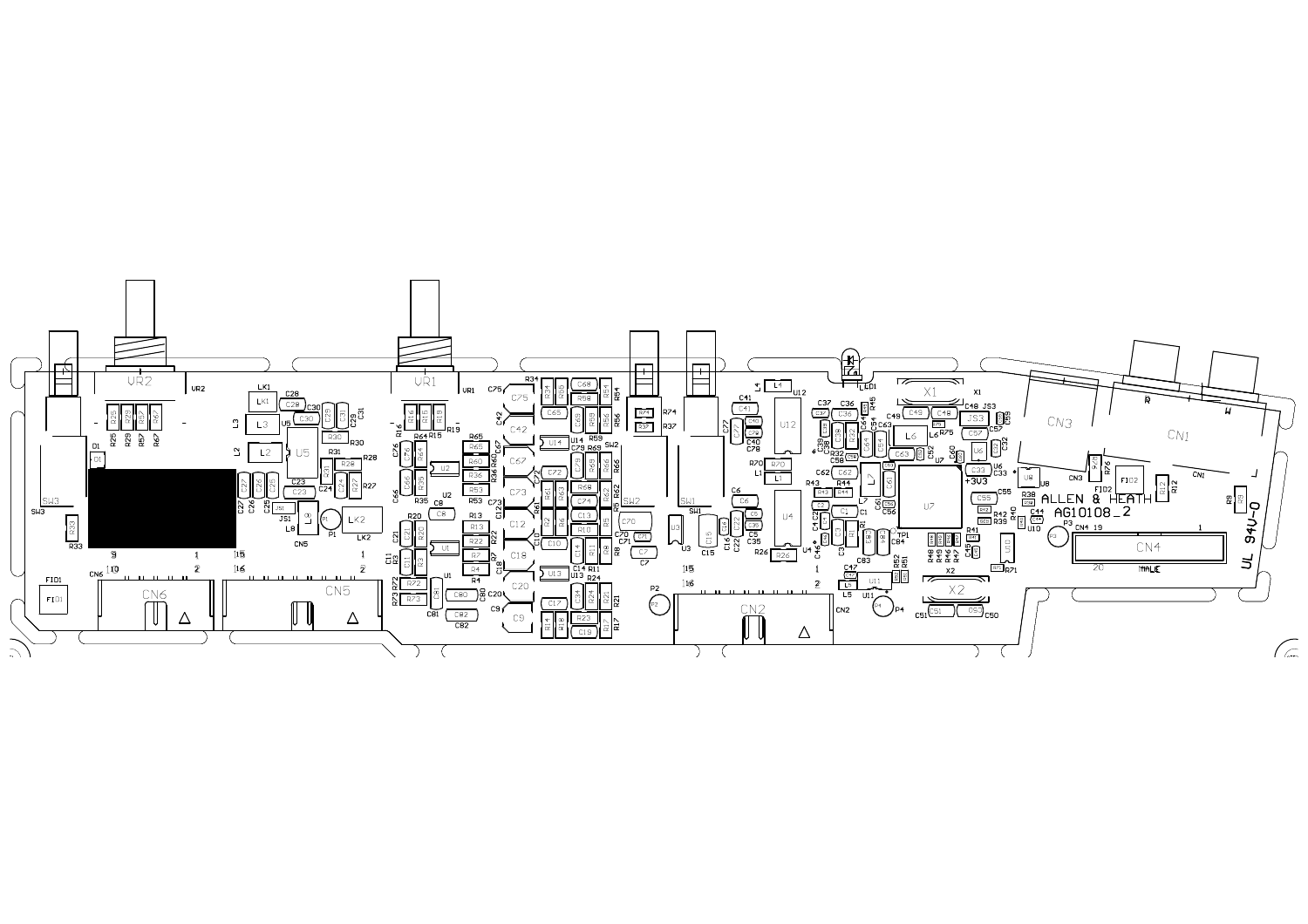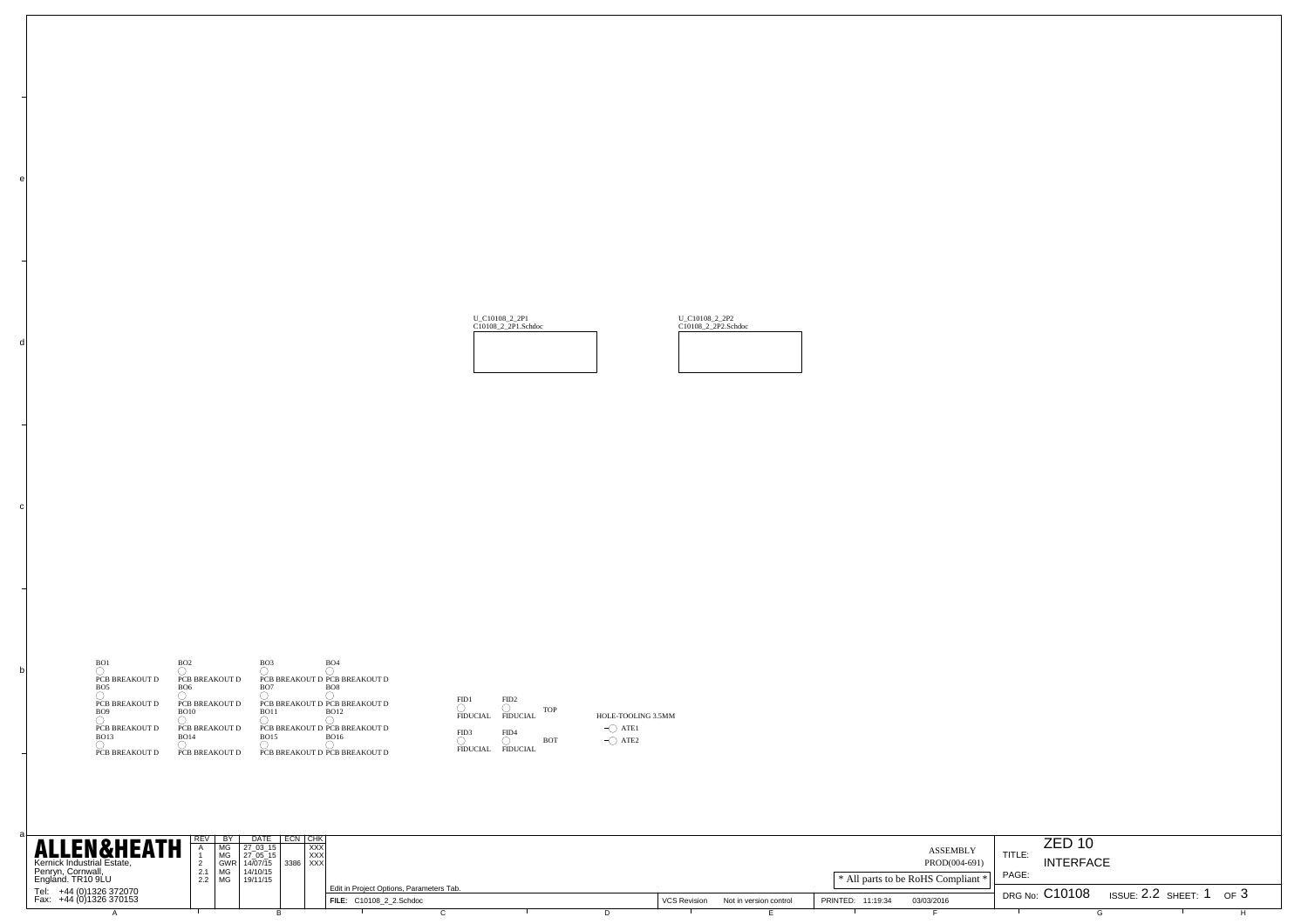U\_C10108\_2\_2P1 C10108\_2\_2P1.Schdoc

U\_C10108\_2\_2P2 C10108\_2\_2P2.Schdoc



b

c

d

e



| <b>ALLEN&amp;HEATH</b>                                               |          | DATE<br>27 05 15                                      | ECN CHK | <b>XXX</b><br><b>XXX</b> |                                                                     |                     |                        |                      | <b>ASSEMBLY</b>                                     | TITLE | <b>ZED 10</b>                                    |
|----------------------------------------------------------------------|----------|-------------------------------------------------------|---------|--------------------------|---------------------------------------------------------------------|---------------------|------------------------|----------------------|-----------------------------------------------------|-------|--------------------------------------------------|
| Kernick Industrial Estate,<br>Penryn, Cornwall,<br>England. TR10 9LU | $2.2$ MG | GWR   14/07/15   3386   XXX  <br>14/10/15<br>19/11/15 |         |                          |                                                                     |                     |                        |                      | PROD(004-691)<br>* All parts to be RoHS Compliant * | PAGE: | <b>INTERFACE</b>                                 |
| Tel: +44 (0)1326 372070<br>Fax: $+44(0)1326370153$                   |          |                                                       |         |                          | Edit in Project Options, Parameters Tab.<br>FILE: C10108 2 2.Schdoc | <b>VCS Revision</b> | Not in version control | PRINTED:<br>11:19:34 | 03/03/2016                                          |       | DRG No: C10108<br>ISSUE: $2.2$ SHEET: $1$ OF $3$ |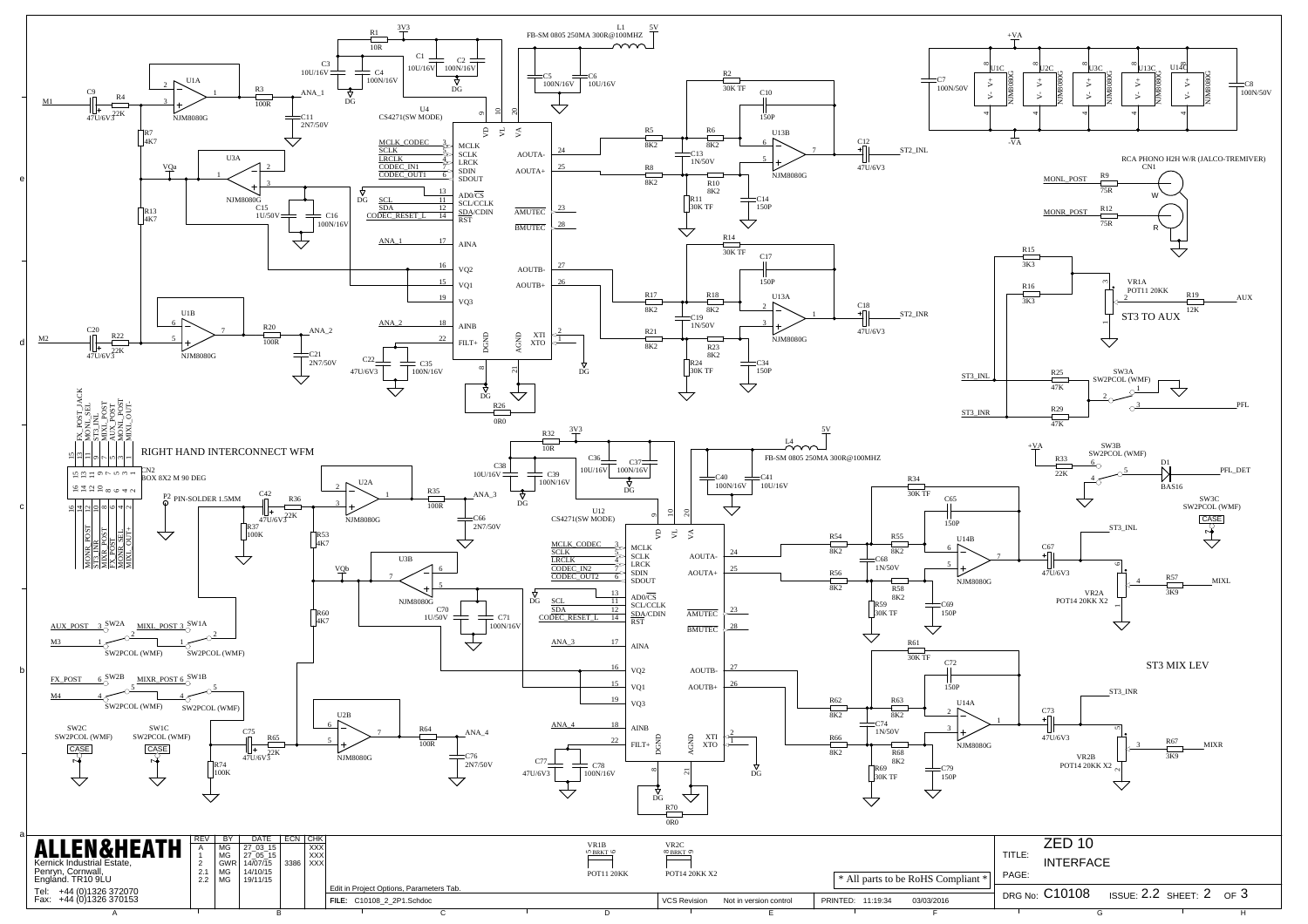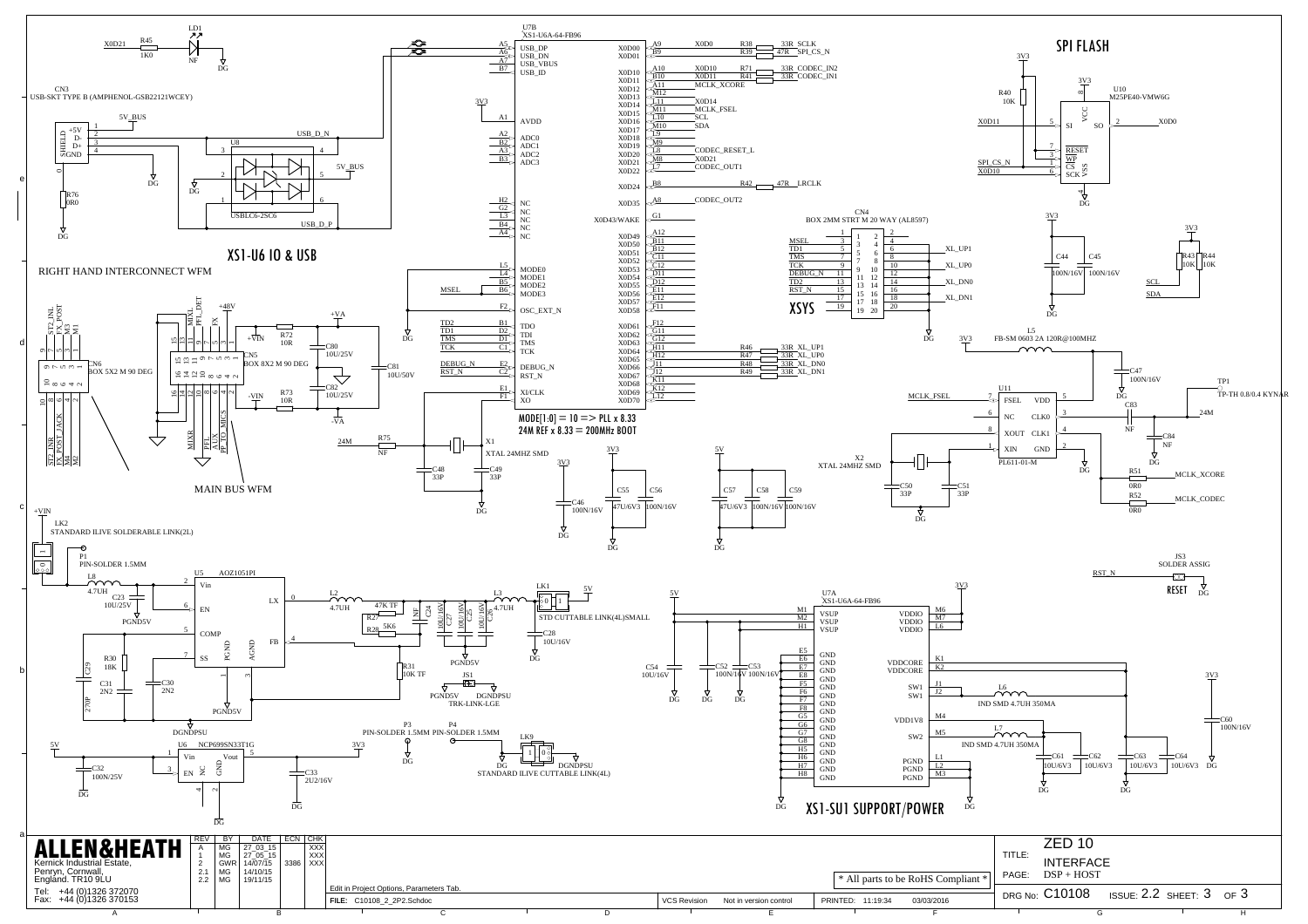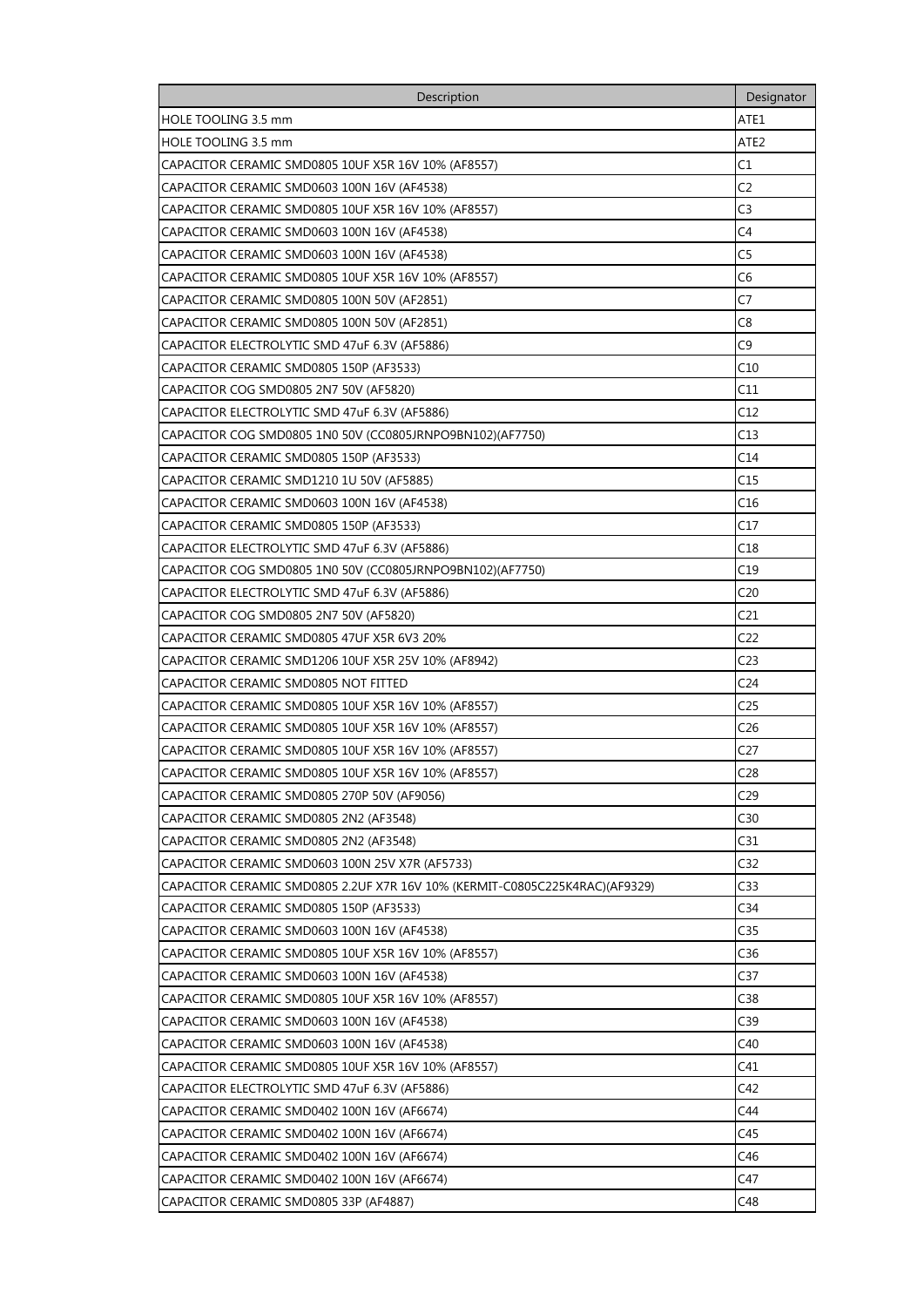| Description                                                                 | Designator      |
|-----------------------------------------------------------------------------|-----------------|
| HOLE TOOLING 3.5 mm                                                         | ATE1            |
| HOLE TOOLING 3.5 mm                                                         | ATE2            |
| CAPACITOR CERAMIC SMD0805 10UF X5R 16V 10% (AF8557)                         | C1              |
| CAPACITOR CERAMIC SMD0603 100N 16V (AF4538)                                 | C <sub>2</sub>  |
| CAPACITOR CERAMIC SMD0805 10UF X5R 16V 10% (AF8557)                         | C3              |
| CAPACITOR CERAMIC SMD0603 100N 16V (AF4538)                                 | C4              |
| CAPACITOR CERAMIC SMD0603 100N 16V (AF4538)                                 | C5              |
| CAPACITOR CERAMIC SMD0805 10UF X5R 16V 10% (AF8557)                         | C6              |
| CAPACITOR CERAMIC SMD0805 100N 50V (AF2851)                                 | C7              |
| CAPACITOR CERAMIC SMD0805 100N 50V (AF2851)                                 | C8              |
| CAPACITOR ELECTROLYTIC SMD 47uF 6.3V (AF5886)                               | C <sub>9</sub>  |
| CAPACITOR CERAMIC SMD0805 150P (AF3533)                                     | C10             |
| CAPACITOR COG SMD0805 2N7 50V (AF5820)                                      | C11             |
| CAPACITOR ELECTROLYTIC SMD 47uF 6.3V (AF5886)                               | C12             |
| CAPACITOR COG SMD0805 1N0 50V (CC0805JRNPO9BN102)(AF7750)                   | C13             |
| CAPACITOR CERAMIC SMD0805 150P (AF3533)                                     | C14             |
| CAPACITOR CERAMIC SMD1210 1U 50V (AF5885)                                   | C15             |
| CAPACITOR CERAMIC SMD0603 100N 16V (AF4538)                                 | C16             |
| CAPACITOR CERAMIC SMD0805 150P (AF3533)                                     | C17             |
| CAPACITOR ELECTROLYTIC SMD 47uF 6.3V (AF5886)                               | C18             |
| CAPACITOR COG SMD0805 1N0 50V (CC0805JRNPO9BN102)(AF7750)                   | C19             |
| CAPACITOR ELECTROLYTIC SMD 47uF 6.3V (AF5886)                               | C <sub>20</sub> |
| CAPACITOR COG SMD0805 2N7 50V (AF5820)                                      | C21             |
| CAPACITOR CERAMIC SMD0805 47UF X5R 6V3 20%                                  | C22             |
| CAPACITOR CERAMIC SMD1206 10UF X5R 25V 10% (AF8942)                         | C <sub>23</sub> |
| CAPACITOR CERAMIC SMD0805 NOT FITTED                                        | C24             |
| CAPACITOR CERAMIC SMD0805 10UF X5R 16V 10% (AF8557)                         | C <sub>25</sub> |
| CAPACITOR CERAMIC SMD0805 10UF X5R 16V 10% (AF8557)                         | C <sub>26</sub> |
| CAPACITOR CERAMIC SMD0805 10UF X5R 16V 10% (AF8557)                         | C27             |
| CAPACITOR CERAMIC SMD0805 10UF X5R 16V 10% (AF8557)                         | C <sub>28</sub> |
| CAPACITOR CERAMIC SMD0805 270P 50V (AF9056)                                 | C29             |
| CAPACITOR CERAMIC SMD0805 2N2 (AF3548)                                      | C <sub>30</sub> |
| CAPACITOR CERAMIC SMD0805 2N2 (AF3548)                                      | C31             |
| CAPACITOR CERAMIC SMD0603 100N 25V X7R (AF5733)                             | C <sub>32</sub> |
| CAPACITOR CERAMIC SMD0805 2.2UF X7R 16V 10% (KERMIT-C0805C225K4RAC)(AF9329) | C33             |
| CAPACITOR CERAMIC SMD0805 150P (AF3533)                                     | C34             |
| CAPACITOR CERAMIC SMD0603 100N 16V (AF4538)                                 | C35             |
| CAPACITOR CERAMIC SMD0805 10UF X5R 16V 10% (AF8557)                         | C36             |
| CAPACITOR CERAMIC SMD0603 100N 16V (AF4538)                                 | C37             |
| CAPACITOR CERAMIC SMD0805 10UF X5R 16V 10% (AF8557)                         | C38             |
| CAPACITOR CERAMIC SMD0603 100N 16V (AF4538)                                 | C <sub>39</sub> |
| CAPACITOR CERAMIC SMD0603 100N 16V (AF4538)                                 | C40             |
| CAPACITOR CERAMIC SMD0805 10UF X5R 16V 10% (AF8557)                         | C41             |
| CAPACITOR ELECTROLYTIC SMD 47uF 6.3V (AF5886)                               | C42             |
| CAPACITOR CERAMIC SMD0402 100N 16V (AF6674)                                 | C44             |
| CAPACITOR CERAMIC SMD0402 100N 16V (AF6674)                                 | C45             |
| CAPACITOR CERAMIC SMD0402 100N 16V (AF6674)                                 | C46             |
| CAPACITOR CERAMIC SMD0402 100N 16V (AF6674)                                 | C47             |
| CAPACITOR CERAMIC SMD0805 33P (AF4887)                                      | C48             |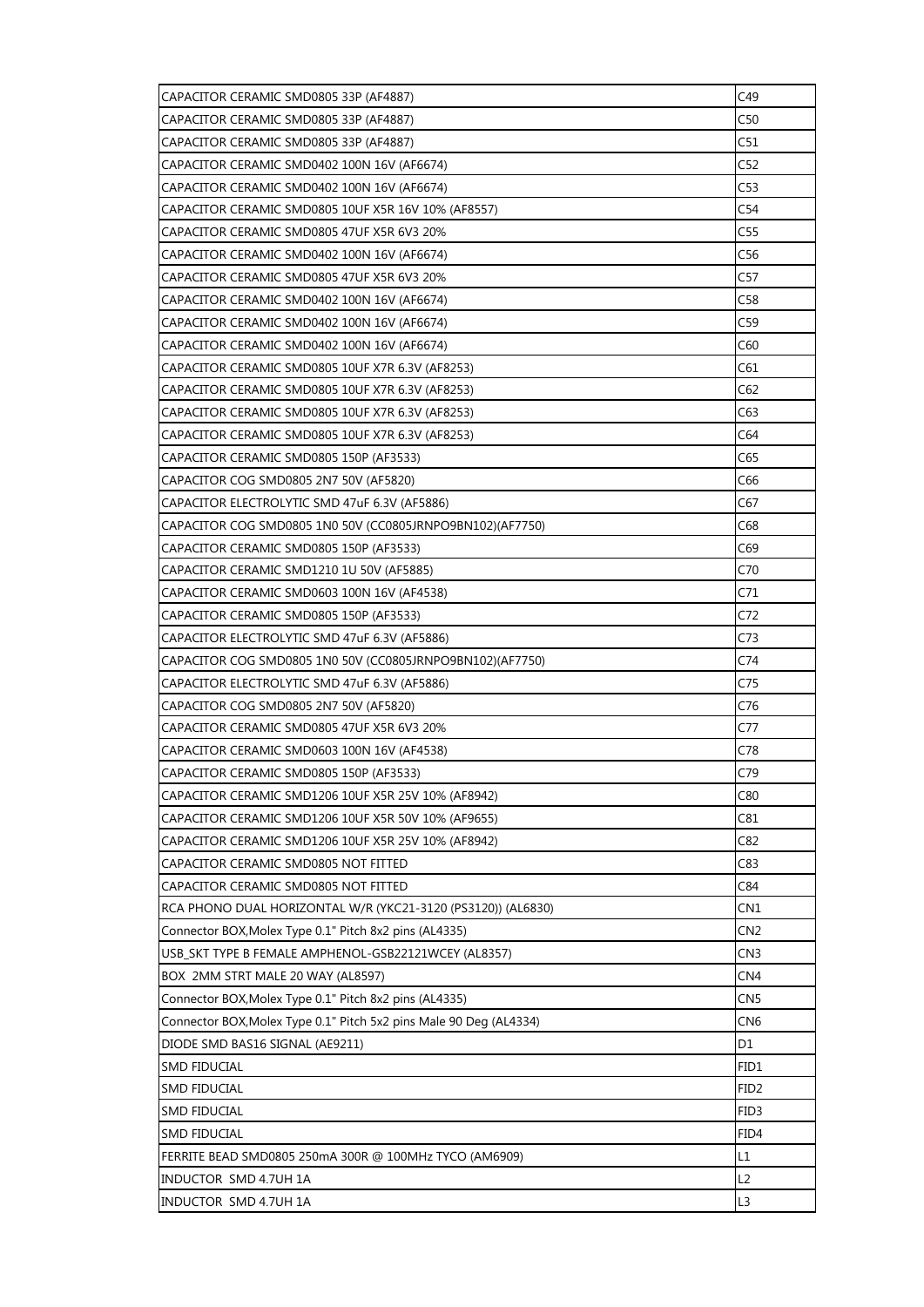| CAPACITOR CERAMIC SMD0805 33P (AF4887)                             | C49              |
|--------------------------------------------------------------------|------------------|
| CAPACITOR CERAMIC SMD0805 33P (AF4887)                             | C50              |
| CAPACITOR CERAMIC SMD0805 33P (AF4887)                             | C51              |
| CAPACITOR CERAMIC SMD0402 100N 16V (AF6674)                        | C52              |
| CAPACITOR CERAMIC SMD0402 100N 16V (AF6674)                        | C53              |
| CAPACITOR CERAMIC SMD0805 10UF X5R 16V 10% (AF8557)                | C54              |
| CAPACITOR CERAMIC SMD0805 47UF X5R 6V3 20%                         | C55              |
| CAPACITOR CERAMIC SMD0402 100N 16V (AF6674)                        | C56              |
| CAPACITOR CERAMIC SMD0805 47UF X5R 6V3 20%                         | C57              |
| CAPACITOR CERAMIC SMD0402 100N 16V (AF6674)                        | C58              |
| CAPACITOR CERAMIC SMD0402 100N 16V (AF6674)                        | C59              |
| CAPACITOR CERAMIC SMD0402 100N 16V (AF6674)                        | C60              |
| CAPACITOR CERAMIC SMD0805 10UF X7R 6.3V (AF8253)                   | C61              |
| CAPACITOR CERAMIC SMD0805 10UF X7R 6.3V (AF8253)                   | C62              |
| CAPACITOR CERAMIC SMD0805 10UF X7R 6.3V (AF8253)                   | C63              |
| CAPACITOR CERAMIC SMD0805 10UF X7R 6.3V (AF8253)                   | C64              |
| CAPACITOR CERAMIC SMD0805 150P (AF3533)                            | C65              |
| CAPACITOR COG SMD0805 2N7 50V (AF5820)                             | C66              |
| CAPACITOR ELECTROLYTIC SMD 47uF 6.3V (AF5886)                      | C67              |
| CAPACITOR COG SMD0805 1N0 50V (CC0805JRNPO9BN102)(AF7750)          | C68              |
| CAPACITOR CERAMIC SMD0805 150P (AF3533)                            | C69              |
| CAPACITOR CERAMIC SMD1210 1U 50V (AF5885)                          | C70              |
| CAPACITOR CERAMIC SMD0603 100N 16V (AF4538)                        | C71              |
| CAPACITOR CERAMIC SMD0805 150P (AF3533)                            | C72              |
| CAPACITOR ELECTROLYTIC SMD 47uF 6.3V (AF5886)                      | C73              |
| CAPACITOR COG SMD0805 1N0 50V (CC0805JRNPO9BN102)(AF7750)          | C74              |
| CAPACITOR ELECTROLYTIC SMD 47uF 6.3V (AF5886)                      | C75              |
| CAPACITOR COG SMD0805 2N7 50V (AF5820)                             | C76              |
| CAPACITOR CERAMIC SMD0805 47UF X5R 6V3 20%                         | C77              |
| CAPACITOR CERAMIC SMD0603 100N 16V (AF4538)                        | C78              |
| CAPACITOR CERAMIC SMD0805 150P (AF3533)                            | C79              |
| CAPACITOR CERAMIC SMD1206 10UF X5R 25V 10% (AF8942)                | C80              |
| CAPACITOR CERAMIC SMD1206 10UF X5R 50V 10% (AF9655)                | C81              |
| CAPACITOR CERAMIC SMD1206 10UF X5R 25V 10% (AF8942)                | C82              |
| CAPACITOR CERAMIC SMD0805 NOT FITTED                               | C83              |
| CAPACITOR CERAMIC SMD0805 NOT FITTED                               | C84              |
| RCA PHONO DUAL HORIZONTAL W/R (YKC21-3120 (PS3120)) (AL6830)       | CN1              |
| Connector BOX, Molex Type 0.1" Pitch 8x2 pins (AL4335)             | CN <sub>2</sub>  |
| USB_SKT TYPE B FEMALE AMPHENOL-GSB22121WCEY (AL8357)               | CN3              |
| BOX 2MM STRT MALE 20 WAY (AL8597)                                  | CN <sub>4</sub>  |
| Connector BOX, Molex Type 0.1" Pitch 8x2 pins (AL4335)             | CN <sub>5</sub>  |
| Connector BOX, Molex Type 0.1" Pitch 5x2 pins Male 90 Deg (AL4334) | CN <sub>6</sub>  |
| DIODE SMD BAS16 SIGNAL (AE9211)                                    | D1               |
| SMD FIDUCIAL                                                       | FID1             |
| <b>SMD FIDUCIAL</b>                                                | FID <sub>2</sub> |
| <b>SMD FIDUCIAL</b>                                                | FID3             |
| <b>SMD FIDUCIAL</b>                                                | FID4             |
| FERRITE BEAD SMD0805 250mA 300R @ 100MHz TYCO (AM6909)             | L1               |
| INDUCTOR SMD 4.7UH 1A                                              | L2               |
| INDUCTOR SMD 4.7UH 1A                                              | L3               |
|                                                                    |                  |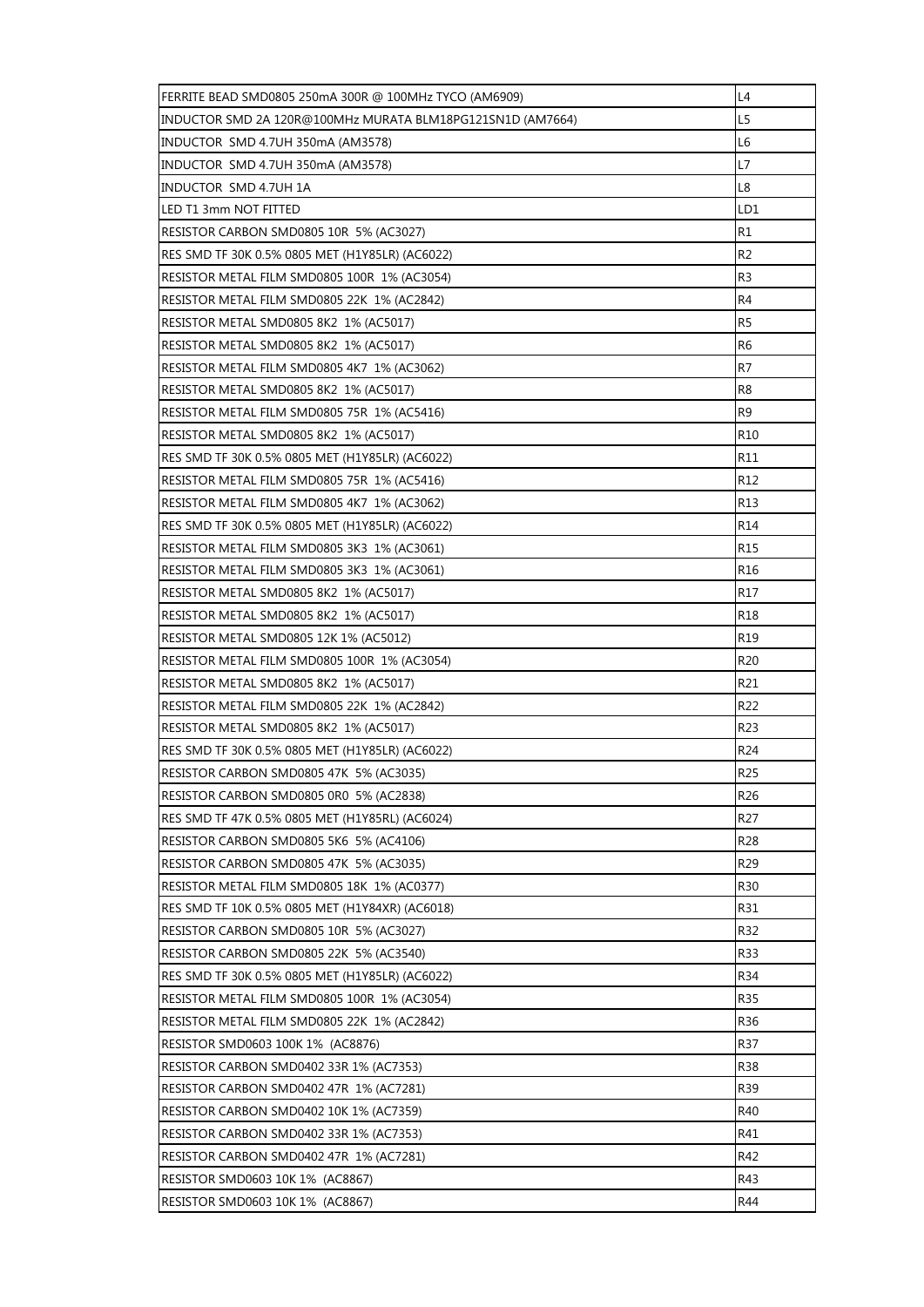| FERRITE BEAD SMD0805 250mA 300R @ 100MHz TYCO (AM6909)     | L4              |
|------------------------------------------------------------|-----------------|
| INDUCTOR SMD 2A 120R@100MHz MURATA BLM18PG121SN1D (AM7664) | L5              |
| INDUCTOR SMD 4.7UH 350mA (AM3578)                          | L6              |
| INDUCTOR SMD 4.7UH 350mA (AM3578)                          | L7              |
| INDUCTOR SMD 4.7UH 1A                                      | L8              |
| LED T1 3mm NOT FITTED                                      | LD1             |
| RESISTOR CARBON SMD0805 10R 5% (AC3027)                    | R1              |
| RES SMD TF 30K 0.5% 0805 MET (H1Y85LR) (AC6022)            | R <sub>2</sub>  |
| RESISTOR METAL FILM SMD0805 100R 1% (AC3054)               | R <sub>3</sub>  |
| RESISTOR METAL FILM SMD0805 22K 1% (AC2842)                | R4              |
| RESISTOR METAL SMD0805 8K2 1% (AC5017)                     | R5              |
| RESISTOR METAL SMD0805 8K2 1% (AC5017)                     | R <sub>6</sub>  |
| RESISTOR METAL FILM SMD0805 4K7 1% (AC3062)                | R7              |
| RESISTOR METAL SMD0805 8K2 1% (AC5017)                     | R8              |
| RESISTOR METAL FILM SMD0805 75R 1% (AC5416)                | R <sub>9</sub>  |
| RESISTOR METAL SMD0805 8K2 1% (AC5017)                     | R10             |
| RES SMD TF 30K 0.5% 0805 MET (H1Y85LR) (AC6022)            | R11             |
| RESISTOR METAL FILM SMD0805 75R 1% (AC5416)                | R12             |
| RESISTOR METAL FILM SMD0805 4K7 1% (AC3062)                | R13             |
| RES SMD TF 30K 0.5% 0805 MET (H1Y85LR) (AC6022)            | R <sub>14</sub> |
| RESISTOR METAL FILM SMD0805 3K3 1% (AC3061)                | R15             |
| RESISTOR METAL FILM SMD0805 3K3 1% (AC3061)                | R <sub>16</sub> |
| RESISTOR METAL SMD0805 8K2 1% (AC5017)                     | R <sub>17</sub> |
| RESISTOR METAL SMD0805 8K2 1% (AC5017)                     | R <sub>18</sub> |
| RESISTOR METAL SMD0805 12K 1% (AC5012)                     | R19             |
| RESISTOR METAL FILM SMD0805 100R 1% (AC3054)               | R <sub>20</sub> |
| RESISTOR METAL SMD0805 8K2 1% (AC5017)                     | R21             |
| RESISTOR METAL FILM SMD0805 22K 1% (AC2842)                | R22             |
| RESISTOR METAL SMD0805 8K2 1% (AC5017)                     | R23             |
| RES SMD TF 30K 0.5% 0805 MET (H1Y85LR) (AC6022)            | R24             |
| <b>RESISTOR CARBON SMD0805 47K 5% (AC3035)</b>             | R <sub>25</sub> |
| RESISTOR CARBON SMD0805 0R0 5% (AC2838)                    | R <sub>26</sub> |
| RES SMD TF 47K 0.5% 0805 MET (H1Y85RL) (AC6024)            | R <sub>27</sub> |
| RESISTOR CARBON SMD0805 5K6 5% (AC4106)                    | R <sub>28</sub> |
| RESISTOR CARBON SMD0805 47K 5% (AC3035)                    | R <sub>29</sub> |
| RESISTOR METAL FILM SMD0805 18K 1% (AC0377)                | R30             |
| RES SMD TF 10K 0.5% 0805 MET (H1Y84XR) (AC6018)            | R31             |
| RESISTOR CARBON SMD0805 10R 5% (AC3027)                    | R32             |
| RESISTOR CARBON SMD0805 22K 5% (AC3540)                    | R33             |
| RES SMD TF 30K 0.5% 0805 MET (H1Y85LR) (AC6022)            | R34             |
| RESISTOR METAL FILM SMD0805 100R 1% (AC3054)               | R35             |
| RESISTOR METAL FILM SMD0805 22K 1% (AC2842)                | R36             |
| RESISTOR SMD0603 100K 1% (AC8876)                          | R37             |
| RESISTOR CARBON SMD0402 33R 1% (AC7353)                    | R38             |
| RESISTOR CARBON SMD0402 47R 1% (AC7281)                    | R39             |
| RESISTOR CARBON SMD0402 10K 1% (AC7359)                    | R40             |
| RESISTOR CARBON SMD0402 33R 1% (AC7353)                    | R41             |
| RESISTOR CARBON SMD0402 47R 1% (AC7281)                    | R42             |
| RESISTOR SMD0603 10K 1% (AC8867)                           | R43             |
| RESISTOR SMD0603 10K 1% (AC8867)                           | R44             |